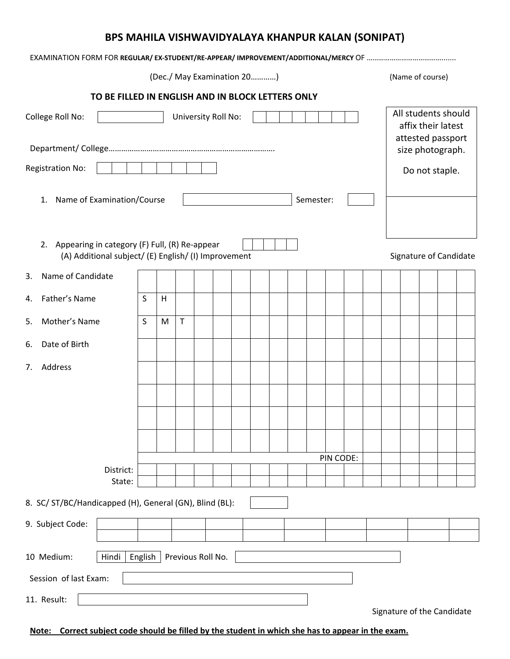## **BPS MAHILA VISHWAVIDYALAYA KHANPUR KALAN (SONIPAT)**

| (Dec./ May Examination 20)                                                                                  |         |   |             |                   |  |  |                                                                | (Name of course) |           |                  |  |  |  |  |                            |
|-------------------------------------------------------------------------------------------------------------|---------|---|-------------|-------------------|--|--|----------------------------------------------------------------|------------------|-----------|------------------|--|--|--|--|----------------------------|
| TO BE FILLED IN ENGLISH AND IN BLOCK LETTERS ONLY                                                           |         |   |             |                   |  |  |                                                                |                  |           |                  |  |  |  |  |                            |
| University Roll No:<br>College Roll No:                                                                     |         |   |             |                   |  |  | All students should<br>affix their latest<br>attested passport |                  |           |                  |  |  |  |  |                            |
|                                                                                                             |         |   |             |                   |  |  |                                                                |                  |           | size photograph. |  |  |  |  |                            |
| <b>Registration No:</b>                                                                                     |         |   |             |                   |  |  |                                                                | Do not staple.   |           |                  |  |  |  |  |                            |
| Name of Examination/Course<br>1.                                                                            |         |   |             |                   |  |  |                                                                | Semester:        |           |                  |  |  |  |  |                            |
| 2.<br>Appearing in category (F) Full, (R) Re-appear<br>(A) Additional subject/ (E) English/ (I) Improvement |         |   |             |                   |  |  |                                                                |                  |           |                  |  |  |  |  | Signature of Candidate     |
| Name of Candidate<br>3.                                                                                     |         |   |             |                   |  |  |                                                                |                  |           |                  |  |  |  |  |                            |
| Father's Name<br>4.                                                                                         | S       | H |             |                   |  |  |                                                                |                  |           |                  |  |  |  |  |                            |
| Mother's Name<br>5.                                                                                         | S       | M | $\mathsf T$ |                   |  |  |                                                                |                  |           |                  |  |  |  |  |                            |
| Date of Birth<br>6.                                                                                         |         |   |             |                   |  |  |                                                                |                  |           |                  |  |  |  |  |                            |
| Address<br>7.                                                                                               |         |   |             |                   |  |  |                                                                |                  |           |                  |  |  |  |  |                            |
|                                                                                                             |         |   |             |                   |  |  |                                                                |                  |           |                  |  |  |  |  |                            |
|                                                                                                             |         |   |             |                   |  |  |                                                                |                  |           |                  |  |  |  |  |                            |
|                                                                                                             |         |   |             |                   |  |  |                                                                |                  |           |                  |  |  |  |  |                            |
|                                                                                                             |         |   |             |                   |  |  |                                                                |                  | PIN CODE: |                  |  |  |  |  |                            |
| District:<br>State:                                                                                         |         |   |             |                   |  |  |                                                                |                  |           |                  |  |  |  |  |                            |
| 8. SC/ ST/BC/Handicapped (H), General (GN), Blind (BL):                                                     |         |   |             |                   |  |  |                                                                |                  |           |                  |  |  |  |  |                            |
|                                                                                                             |         |   |             |                   |  |  |                                                                |                  |           |                  |  |  |  |  |                            |
| 9. Subject Code:                                                                                            |         |   |             |                   |  |  |                                                                |                  |           |                  |  |  |  |  |                            |
| <b>Hindi</b><br>10 Medium:                                                                                  | English |   |             | Previous Roll No. |  |  |                                                                |                  |           |                  |  |  |  |  |                            |
| Session of last Exam:                                                                                       |         |   |             |                   |  |  |                                                                |                  |           |                  |  |  |  |  |                            |
| 11. Result:                                                                                                 |         |   |             |                   |  |  |                                                                |                  |           |                  |  |  |  |  | Signature of the Candidate |

**Note: Correct subject code should be filled by the student in which she has to appear in the exam.**